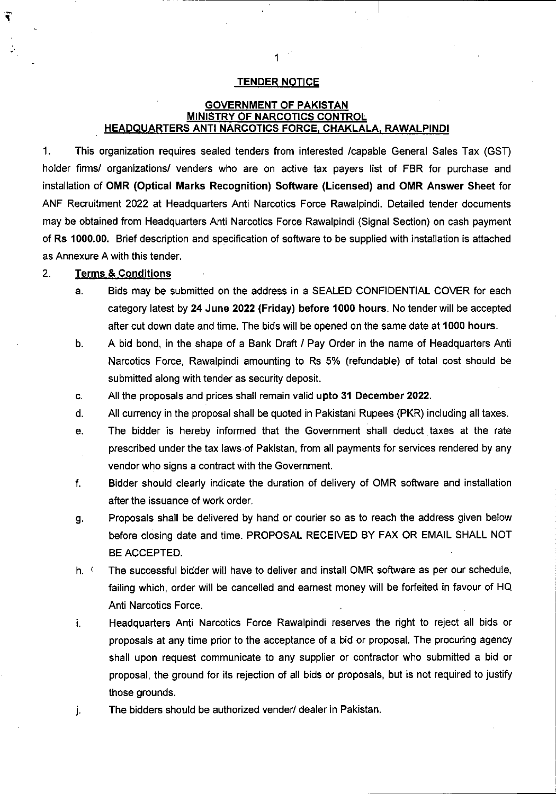#### **TENDER NOTICE**

**1**

# **GOVERNMENT OF PAKISTAN MINISTRY OF NARCOTICS CONTROL HEADQUARTERS ANTI NARCOTICS FORCE. CHAKLALA. RAWALPINDI**

This organization requires sealed tenders from interested /capable General Sales Tax (GST) holder firms/ organizations/ venders who are on active tax payers list of FBR for purchase and installation of **OMR (Optical Marks Recognition) Software (Licensed) and OMR Answer Sheet** for ANF Recruitment 2022 at Headquarters Anti Narcotics Force Rawalpindi. Detailed tender documents may be obtained from Headquarters Anti Narcotics Force Rawalpindi (Signal Section) on cash payment of **Rs 1000.00.** Brief description and specification of software to be supplied with installation is attached as Annexure A with this tender. **1.**

#### **Terms & Conditions 2.**

**V**

ψ.

- Bids may be submitted on the address in a SEALED CONFIDENTIAL COVER for each category latest by **24 June 2022 (Friday) before 1000 hours.** No tender will be accepted after cut down date and time. The bids will be opened on the same date at **1000 hours. a.**
- A bid bond, in the shape of a Bank Draft / Pay Order in the name of Headquarters Anti Narcotics Force, Rawalpindi amounting to Rs 5% (refundable) of total cost should be submitted along with tender as security deposit. **b.**
- All the proposals and prices shall remain valid **upto 31 December 2022. c.**
- All currency in the proposal shall be quoted in Pakistani Rupees (PKR) including all taxes. **d.**
- The bidder is hereby informed that the Government shall deduct taxes at the rate prescribed under the tax laws of Pakistan, from all payments for services rendered by any vendor who signs a contract with the Government. **e.**
- Bidder should clearly indicate the duration of delivery of OMR software and installation after the issuance of work order. **f.**
- Proposals shall be delivered by hand or courier so as to reach the address given below before closing date and time. PROPOSAL RECEIVED BY FAX OR EMAIL SHALL NOT BE ACCEPTED. **g-**
- h. ( The successful bidder will have to deliver and install OMR software as per our schedule, failing which, order will be cancelled and earnest money will be forfeited in favour of HQ Anti Narcotics Force.
- Headquarters Anti Narcotics Force Rawalpindi reserves the right to reject all bids or i. proposals at any time prior to the acceptance of a bid or proposal. The procuring agency shall upon request communicate to any supplier or contractor who submitted a bid or proposal, the ground for its rejection of all bids or proposals, but is not required to justify those grounds.
- The bidders should be authorized vender/ dealer in Pakistan. **J-**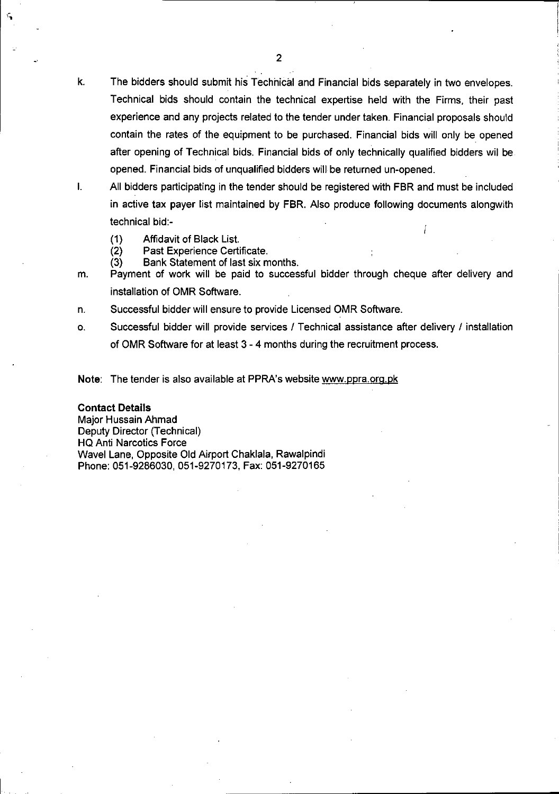- k. The bidders should submit his Technical and Financial bids separately in two envelopes. Technical bids should contain the technical expertise held with the Firms, their past experience and any projects related to the tender under taken. Financial proposals should contain the rates of the equipment to be purchased. Financial bids will only be opened after opening of Technical bids. Financial bids of only technically qualified bidders wil be opened. Financial bids of unqualified bidders will be returned un-opened.
- All bidders participating in the tender should be registered with FBR and must be included in active tax payer list maintained by FBR. Also produce following documents alongwith technical bid:- I.
	- Affidavit of Black List. (1)
	- Past Experience Certificate. (2)
	- Bank Statement of last six months. (3)
- Payment of work will be paid to successful bidder through cheque after delivery and installation of OMR Software. m.
- Successful bidder will ensure to provide Licensed OMR Software. n.
- Successful bidder will provide services / Technical assistance after delivery / installation of OMR Software for at least 3-4 months during the recruitment process. o.
- **Note:** The tender is also available at PPRA's website [www.ppra.ora.pk](http://www.ppra.ora.pk)

### **Contact Details**

'l

Major Hussain Ahmad Deputy Director (Technical) HQ Anti Narcotics Force Wavel Lane, Opposite Old Airport Chaklala, Rawalpindi Phone: 051-9286030, 051-9270173, Fax: 051-9270165